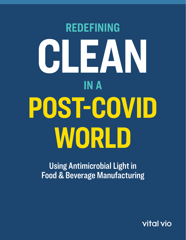# **REDEFINING CLEAN IN A POST-COVID WORLD**

Using Antimicrobial Light in Food & Beverage Manufacturing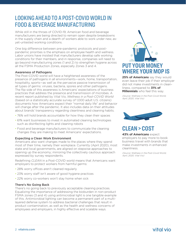# LOOKING AHEAD TO A POST-COVID WORLD IN FOOD & BEVERAGE MANUFACTURING

While still in the throes of COVID-19, American food and beverage manufacturers are being directed to remain open despite breakdowns in the supply chain and a dearth of workers able to work under new, asyet-untested working conditions.

One big difference between pre-pandemic protocols and postpandemic priorities is the emphasis on employee health and wellness. Labor unions have insisted that manufacturers develop safe working conditions for their members, and in response, companies will need to go beyond manufacturing zones (1 and 2) to strengthen hygiene across all the FSMA Production Zones, especially Zones 3 and 4.

#### Awareness of Pathogens

The Post-COVID world will have a heightened awareness of the presence of pathogens in all environments—work, home, transportation, hospitality, sports—as well as the pervasive passive transmission of all types of germs: viruses, bacteria, spores and other pathogens. The flip side of this awareness is Americans' expectations of business practices that address the presence and transmission of microbes. A recent report published by Vital Vio, *Wellness in a Post-COVID World* (based on a statistically accurate survey of 1,000 adult U.S. citizens) documents how Americans expect their "normal daily life" and behavior will change after the pandemic. It also includes data on their attitudes about brands' transparency regarding cleanliness and cleaning habits.

- 76% will hold brands accountable for how they clean their spaces
- 61% want businesses to invest in automated cleaning technologies such as disinfecting lights and cleaning robots
- Food and beverage manufacturers to communicate the cleaning changes they are making to meet Americans' expectations.

#### Expecting a Clean Work Environment

Americans also want changes made to the places where they spend most of their time, namely their workplace. Currently (April 2020), most state and local governments, are aligned on stepwise approaches to opening up the economy; mirroring the collectively cautious approach expressed by survey respondents.

Redefining *CLEAN* in a Post-COVID world means that Americans want employers to protect workers from harmful germs:

- 28% worry offices aren't cleaned regularly
- 23% worry staff isn't aware of good hygiene practices
- 22% worry co-workers won't stay home when sick

#### There's No Going Back

There's no going back to previously acceptable cleaning practices. Equalizing the importance of addressing the bioburden in non-product FSMA zones (3 and 4) using antimicrobial light is one tangible example of this. Antimicrobial lighting can become a permanent part of a multilayered defense system to address bacterial challenges that result in product contamination, as well as the health and wellness concerns of employees and employers, in highly effective and scalable ways.



**25% of Americans** say they would even leave their job if their employer did not make investments in cleanliness, compared to **31% of Millennials** who feel this way.

(Source: Wellness in the Post-Covid World, April, 2020, Vital Vio)



# **CLEAN > COST**

**43% of Americans** expect employers to pay more to book business travel with brands that make investments in enhanced cleanliness.

(Source: Wellness in the Post-Covid World, April, 2020, Vital Vio)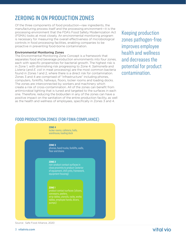# ZEROING IN ON PRODUCTION ZONES

Of the three components of food production—raw ingredients, the manufacturing process itself and the processing environment—it is the processing environment that the FDA's Food Safety Modernization Act (FSMA) looks at most closely. An environmental monitoring program is necessary for measuring the overall effectiveness of microbiological controls in food processing facilities, enabling companies to be proactive in preventing food-borne contamination.

#### Environmental Monitoring Zones

The Environmental Monitoring Zone Concept is a framework that separates food and beverage production environments into four zones, each with specific propensities for bacterial growth. The highest risk is in Zone 1, with diminishing risk progressing to Zone 4. *Salmonella* and *Listeria* (and *E. coli* in meat processing) are the most common bacteria found in Zones 1 and 2, where there is a direct risk for contamination. Zones 3 and 4 are comprised of "infrastructure" including phones, computers, forklifts, hallways, floors, locker rooms and loading docks. The zones are interconnected by workers and machinery which create a risk of cross-contamination. All of the zones can benefit from antimicrobial lighting that is tuned and targeted to the surfaces in each one. Therefore, reducing the bioburden in any of the zones can have a positive impact on the sanitation of the entire production facility, as well as the health and wellness of employees, specifically in Zones 3 and 4.

Keeping production zones pathogen-free improves employee health and wellness and decreases the potential for product contamination.

## FOOD PRODUCTION ZONES (FOR FSMA COMPLIANCE)

#### **ZONE 4**

locker rooms, cafeteria, halls, warehouse, loading dock

#### **ZONE 3**

phones, hand trucks, forklifts, walls, floor and drains

#### **ZONE 2**

non-product contact surfaces in close proximity to product (exterior of equipment, chill units, framework, equipment housing)

#### **ZONE 1**

Source: Safe Food Alliance, 2020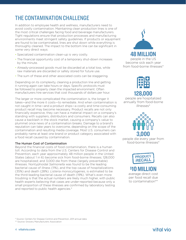# THE CONTAMINATION CHALLENGE

In addition to employee health and wellness, manufacturers need to avoid costly contamination. Maintaining clean production lines is one of the most critical challenges facing food and beverage manufacturers. Tight regulations ensure that production processes and manufacturing environments meet stringent safety guidelines. If products or equipment are found to be contaminated, lines are shut down while everything is thoroughly cleaned. The impact to the bottom line can be significant in some very direct ways:

- Specialized contamination clean-up is very costly.
- The financial opportunity cost of a temporary shut-down increases by the minute.
- Already-processed goods must be discarded at a total loss, while raw materials are discarded or safely stored for future use.
- The sum of these and other associated costs can be staggering.

Depending on its complexity, cleaning a production line and getting it running again can take hours or days. Specific protocols must be followed to properly clean the impacted environment. Often manufacturers hire services that cost thousands of dollars per hour.

The larger or more complicated the contamination is, the longer it takes—and the more it costs—to remediate. And when contamination is not caught in time—and a product ships—a costly and time-consuming product recall may become necessary. Product recalls are not only financially expensive, they can have a material impact on a company's standing with suppliers, distributors and consumers. Recalls can also cause a backlash in the stock market, causing a company's value to plummet once news of a contamination breaks. Damage to a brand's reputation can take years to overcome, depending on the scope of the contamination and resulting media coverage. Most U.S. consumers can probably name at least one brand or product category associated with a food recall caused by contamination.

#### The Human Cost of Contamination

Beyond the financial costs of food contamination, there is a human toll. According to data from the U.S. Centers for Disease Control and Prevention, each year approximately 48 million people in the United States (about 1 in 6) become sick from food-borne illnesses; 128,000 are hospitalized; and 3,000 die from these (largely preventable) illnesses. Nontyphoidal *Salmonella* was found to be the leading bacterial cause of illness (11%), and the top cause of hospitalizations (35%) and death (28%). *Listeria monocytogenes*, is estimated to be the third-leading bacterial cause of death (19%). What's even more troubling is that the actual numbers are likely much higher, with public health experts believing that cases are under-reported because only a small proportion of these illnesses are confirmed by laboratory testing and reported to public health agencies.\*



become sick each year from food-borne illnesses\*



**128,000**

people are hospitalized annually from food-borne illnesses\*



people die every year from food-borne illnesses\*



**\$10 MILLION** average direct cost per food recall due to contamination\*\*

\* Source: Centers for Disease Control and Prevention, 2011 annual data

\*\* Source: Grocery Manufacturers Association

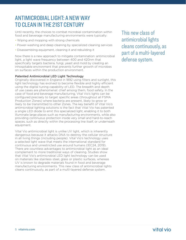# ANTIMICROBIAL LIGHT: A NEW WAY TO CLEAN IN THE 21ST CENTURY

Until recently, the choices to combat microbial contamination within food and beverage manufacturing environments were typically:

- Wiping and mopping with strong chemicals
- Power-washing and deep cleaning by specialized cleaning services
- Disassembling equipment, cleaning it and rebuilding it

Now there is a new approach to mitigate contamination: antimicrobial light, a light wave frequency between 400 and 420nm that specifically targets bacteria, fungi, yeast and mold by creating an inhospitable environment that prevents further growth of microbes on surfaces within the production environment.

## Patented Antimicrobial LED Light Technology

Originally discovered in England in 1892 using filters and sunlight, this light technology has evolved to become flexible and highly efficient using the digital tuning capability of LED. The breadth and depth of use cases are phenomenal: chief among them, food safety. In the case of food and beverage manufacturing, Vital Vio's lights can be configured precisely to target specific areas (throughout all FSMA Production Zones) where bacteria are present, likely to grow or likely to be transmitted to other Zones. The key benefit of Vital Vio's antimicrobial lighting solutions is the fact that Vital Vio has patented a single LED diode to emit this specialized light, enabling it to both illuminate large places such as manufacturing environments, while also providing continuous protection inside very small and hard-to-reach spaces, such as directly within the processing line itself, or underneath equipment.

Vital Vio antimicrobial light is unlike UV light, which is inherently dangerous because it attacks DNA to destroy the cellular structure in all living things (including people). Vital Vio's technology uses a selected light wave that meets the international standard for continuous and unrestricted use around humans (IEC24, 2019). There are countless advantages to antimicrobial light as an ideal complement to more traditional ways of cleaning. Studies show that Vital Vio's antimicrobial LED light technology can be used on materials like stainless steel, glass or plastic surfaces, whereas UV is known to degrade materials found in food and beverage manufacturing environments. This new class of antimicrobial lights cleans continuously, as part of a multi-layered defense system.

This new class of antimicrobial lights cleans continuously, as part of a multi-layered defense system.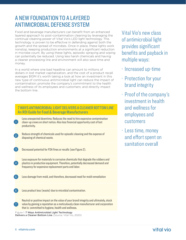# A NEW FOUNDATION TO A LAYERED ANTIMICROBIAL DEFENSE SYSTEM

Food and beverage manufacturers can benefit from an enhanced layered approach to post-contamination cleaning by leveraging the continual cleaning power of Vital Vio's LED light technology. This technology is proven to be effective in defending against both the growth and the spread of microbes. Once in place, these lights work nonstop, keeping production environments at a significant reduction in microbe count. By using these lights, episodic spraying and wiping can potentially be reduced. Using less harsh chemicals and having a cleaner processing line and environment will also save time and money.

In a world where one bad headline can amount to millions of dollars in lost market capitalization, and the cost of a product recall averages \$10M it's worth taking a look at how an investment in this new type of continuous antimicrobial light can reduce the impact of contamination; promote the company's commitment to the health and wellness of its employees and customers; and directly impact the bottom line.

## 7 WAYS ANTIMICROBIAL LIGHT DELIVERS A CLEANER BOTTOM LINE An ROI Guide for Food & Beverage Manufacturers

- Less unexpected downtime. Reduces the need to hire expensive contamination clean-up crews on short notice. Also less financial opportunity cost of lost productivity.
- Reduce strength of chemicals used for episodic cleaning and the expense of disposing of chemical waste.
- Decreased potential for FDA fines or recalls (see Figure 2). 3

Less exposure for materials to corrosive chemicals that degrade the rubbers and plastics in production equipment. Therefore, potentially decreased demand and frequency for expensive replacement parts and labor.

- Less damage from mold, and therefore, decreased need for mold remediation
- Less product loss (waste) due to microbial contamination. 6

Neutral or positive impact on the value of your brand integrity and ultimately, stock value by gaining a reputation as a meticulously clean manufacturer and corporation that is committed to hygiene, health and wellness.

Figure 1: 7 Ways Antimicrobial Light Technology Delivers a Cleaner Bottom Line (Source: Vital Vio, 2020) Vital Vio's new class of antimicrobial light provides significant benefits and payback in multiple ways:

- · Increased up-time
- · Protection for your brand integrity
- · Proof of the company's investment in health and wellness for employees and customers
- · Less time, money and effort spent on sanitation overall

2

1

4

5

7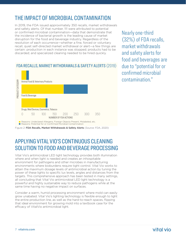# THE IMPACT OF MICROBIAL CONTAMINATION

In 2019, the FDA issued approximately 350 recalls, market withdrawals and safety alerts. Of that number, 111 were attributed to potential or confirmed microbial contamination—data that demonstrate that the incidence of bacterial growth is the leading cause of market disruption for the food and beverage industry. Regardless of the resolution of each occurrence—whether a fine, forced or voluntary recall, quiet self-directed market withdrawal or alert—a few things are certain: production in each instance was stopped; products had to be discarded; and specialized cleaning needed to be hired quickly.



## FDA RECALLS, MARKET WITHDRAWALS & SAFETY ALERTS (2019)

Figure 2: FDA Recalls, Market Withdrawals & Safety Alerts (Source: FDA, 2020)

# APPLYING VITAL VIO'S CONTINUOUS CLEANING SOLUTION TO FOOD AND BEVERAGE PROCESSING

Vital Vio's antimicrobial LED light technology provides both illumination where and when light is needed and creates an inhospitable environment for pathogens and other microbes in manufacturing environments where bioburdens require tight control. Vital Vio works to attain the maximum dosage levels of antimicrobial action by tuning the power of these lights to specific lux levels, angles and distances from the targets. This comprehensive approach has been tested in many settings, all concluding that Vital Vio antimicrobial LED light technology is a powerful and highly sustainable way to reduce pathogens while at the same time having no negative impact on surfaces.

Consider a warm, humid processing environment where mold can easily grow unabated. Vital Vio's lighting technology is flexible enough to light the entire production line, as well as the hard-to-reach spaces, flipping that ideal environment for growing mold into a textbook case for the

Nearly one-third (32%) of FDA recalls, market withdrawals and safety alerts for food and beverages are due to "potential for or confirmed microbial contamination."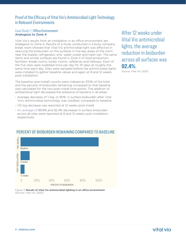## Proof of the Efficacy of Vital Vio's Antimicrobial Light Technology in Relevant Environments

## Case Study 1 | Office Environment Analogous to Zone 4

Vital Vio's results from an installation in an office environment are analagous to Zone 4. Results of a study conducted in a busy company break room showed that Vital Vio antimicrobial light was effective in reducing the bioburden on the surfaces in five key areas of the room: near the toaster, refrigerator, sink, water cooler and trash can. The same items and similar surfaces are found in Zone 4 of food production facilities—break rooms, locker rooms, cafeterias and hallways. Each of the five sites were swabbed once per day for 10 days at roughly the same time each day. Sites were sampled before the antimicrobial lights were installed to gather baseline values and again at 8 and 12 weeks post-installation.

The baseline (pre-install) counts were indexed as 100% of the total and the percent of bioburden remaining compared to that baseline was calculated for the two post-install time points. The addition of antibacterial light decreased the presence of bacteria in all areas:

- Average decrease of 1-log, or 90%, in surface bioburden after Vital Vio's antimicrobial technology was installed, compared to baseline
- 1.12-log decrease was reported at 12 weeks post-install
- An average of 89.8% and 92.4% decreases in surface bioburden across all sites were reported at 8 and 12 weeks post-installation respectively



## PERCENT OF BIOBURDEN REMAINING COMPARED TO BASELINE

Figure 3: Results of Vital Vio antimicrobial lighting in an office environment (Source: Vital Vio, 2020)

After 12 weeks under Vital Vio antimicrobial lights, the average reduction in bioburden across all surfaces was **92.4%**.

Source: Vital Vio, 2020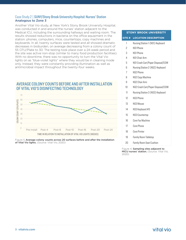## Case Study 2 | SUNY/Stony Brook University Hospital: Nurses' Station Analogous to Zone 3

Another Vital Vio study, at New York's Stony Brook University Hospital, was conducted in and around the nurses' station adjacent to the Medical ICU, including the surrounding hallways and waiting room. The results showed reductions in bacteria on the office equipment in the station: phones, computers, mice, countertops, copy machines and keyboards. In all, twenty surfaces were tested and all showed dramatic decreases in bioburden, on average decreasing from a colony count of 55 CFU/Plate to 30. The testing took place over a 24-week period and the site was active non-stop (similar to many food production facilities). With no downtime, there was no opportunity to turn the Vital Vio lights on as "blue-violet lights" where they would be in cleaning mode only. Instead, they were constantly providing illumination as well as antimicrobial impact throughout the twenty-four weeks.

## AVERAGE COLONY COUNTS BEFORE AND AFTER INSTALLATION OF VITAL VIO'S DISINFECTING TECHNOLOGY



Figure 5.Average colony counts across 20 surfaces before and after the installation of Vital Vio lights. (Source: Vital Vio, 2020)

## **STONY BROOK UNIVERSITY SITE # LOCATION DESCRIPTION**

| Nursing Station 1 (NS1) Keyboard |  |  |
|----------------------------------|--|--|
|----------------------------------|--|--|

- 2 NS1 Phone
- 3 NS1 Phone
- 4 NS1 Chair Arm
- 5 NS1 Crash Cart/Paper Disposal/COW
- 6 Nursing Station 2 (NS2) Keyboard
- 7 NS2 Phone
- 8 NS2 Copy Machine
- 9 NS2 Chair Arm
- 10 NS2 Crash Cart/Paper Disposal/COW
- 11 Nursing Station 3 (NS3) Keyboard
- 12 NS3 Phone
- 13 NS3 Mouse
- 14 NS3 Keyboard #3
- 15 NS3 Countertop
- 16 Core Fax Machine
- 17 Core Phone
- 18 Core Printer
- 19 Family Room Tabletop
- 20 Family Room Seat Cushion

Figure 4. Sampling sites adjacent to MICU nurses' station. (Source: Vital Vio, 2020)